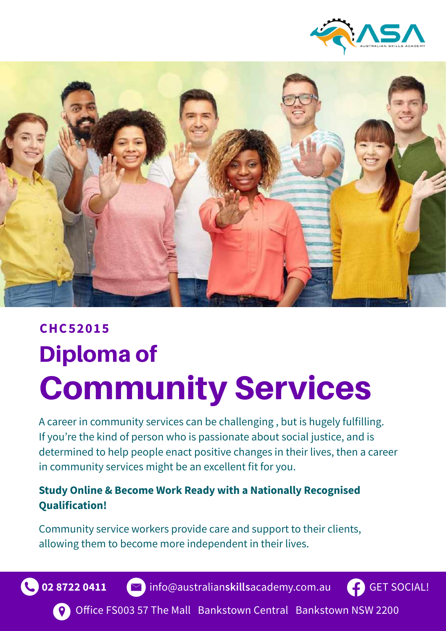



# Diploma of Community Services **CHC52015**

A career in community services can be challenging , but is hugely fulfilling. If you're the kind of person who is passionate about social justice, and is determined to help people enact positive changes in their lives, then a career in community services might be an excellent fit for you.

#### **Study Online & Become Work Ready with a Nationally Recognised Qualification!**

Community service workers provide care and support to their clients, allowing them to become more independent in their lives.





**02 8722 0411 (≥)** info@australian**skills**academy.com.au



Office FS003 57 The Mall Bankstown Central Bankstown NSW 2200